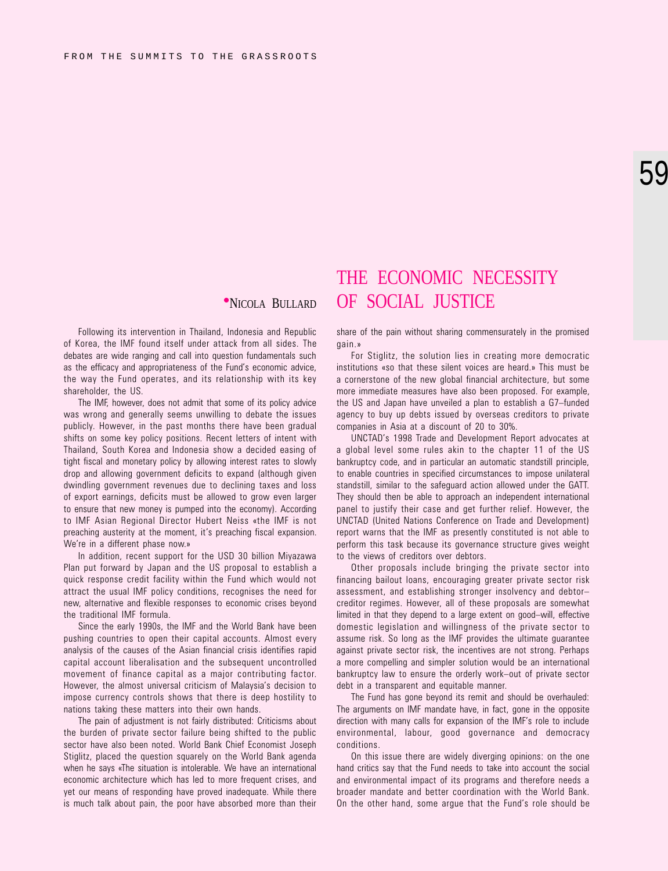## THE ECONOMIC NECESSITY **•NICOLA BULLARD OF SOCIAL JUSTICE**

Following its intervention in Thailand, Indonesia and Republic of Korea, the IMF found itself under attack from all sides. The debates are wide ranging and call into question fundamentals such as the efficacy and appropriateness of the Fund's economic advice, the way the Fund operates, and its relationship with its key shareholder, the US.

The IMF, however, does not admit that some of its policy advice was wrong and generally seems unwilling to debate the issues publicly. However, in the past months there have been gradual shifts on some key policy positions. Recent letters of intent with Thailand, South Korea and Indonesia show a decided easing of tight fiscal and monetary policy by allowing interest rates to slowly drop and allowing government deficits to expand (although given dwindling government revenues due to declining taxes and loss of export earnings, deficits must be allowed to grow even larger to ensure that new money is pumped into the economy). According to IMF Asian Regional Director Hubert Neiss «the IMF is not preaching austerity at the moment, it's preaching fiscal expansion. We're in a different phase now.»

In addition, recent support for the USD 30 billion Miyazawa Plan put forward by Japan and the US proposal to establish a quick response credit facility within the Fund which would not attract the usual IMF policy conditions, recognises the need for new, alternative and flexible responses to economic crises beyond the traditional IMF formula.

Since the early 1990s, the IMF and the World Bank have been pushing countries to open their capital accounts. Almost every analysis of the causes of the Asian financial crisis identifies rapid capital account liberalisation and the subsequent uncontrolled movement of finance capital as a major contributing factor. However, the almost universal criticism of Malaysia's decision to impose currency controls shows that there is deep hostility to nations taking these matters into their own hands.

The pain of adjustment is not fairly distributed: Criticisms about the burden of private sector failure being shifted to the public sector have also been noted. World Bank Chief Economist Joseph Stiglitz, placed the question squarely on the World Bank agenda when he says «The situation is intolerable. We have an international economic architecture which has led to more frequent crises, and yet our means of responding have proved inadequate. While there is much talk about pain, the poor have absorbed more than their

share of the pain without sharing commensurately in the promised gain.»

For Stiglitz, the solution lies in creating more democratic institutions «so that these silent voices are heard.» This must be a cornerstone of the new global financial architecture, but some more immediate measures have also been proposed. For example, the US and Japan have unveiled a plan to establish a G7-funded agency to buy up debts issued by overseas creditors to private companies in Asia at a discount of 20 to 30%.

UNCTAD's 1998 Trade and Development Report advocates at a global level some rules akin to the chapter 11 of the US bankruptcy code, and in particular an automatic standstill principle, to enable countries in specified circumstances to impose unilateral standstill, similar to the safeguard action allowed under the GATT. They should then be able to approach an independent international panel to justify their case and get further relief. However, the UNCTAD (United Nations Conference on Trade and Development) report warns that the IMF as presently constituted is not able to perform this task because its governance structure gives weight to the views of creditors over debtors.

Other proposals include bringing the private sector into financing bailout loans, encouraging greater private sector risk assessment, and establishing stronger insolvency and debtor creditor regimes. However, all of these proposals are somewhat limited in that they depend to a large extent on good-will, effective domestic legislation and willingness of the private sector to assume risk. So long as the IMF provides the ultimate guarantee against private sector risk, the incentives are not strong. Perhaps a more compelling and simpler solution would be an international bankruptcy law to ensure the orderly work-out of private sector debt in a transparent and equitable manner.

The Fund has gone beyond its remit and should be overhauled: The arguments on IMF mandate have, in fact, gone in the opposite direction with many calls for expansion of the IMF's role to include environmental, labour, good governance and democracy conditions.

On this issue there are widely diverging opinions: on the one hand critics say that the Fund needs to take into account the social and environmental impact of its programs and therefore needs a broader mandate and better coordination with the World Bank. On the other hand, some argue that the Fund's role should be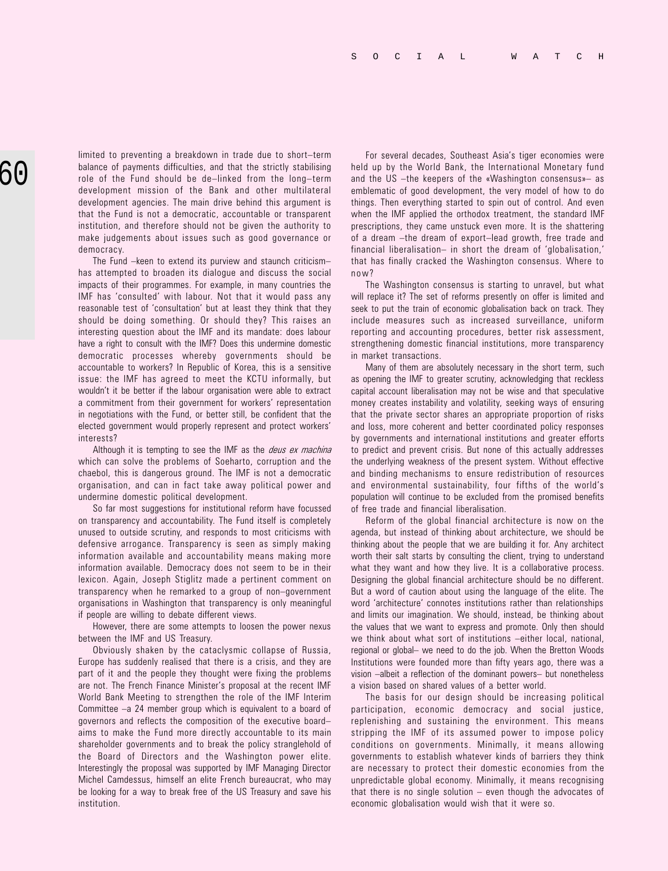limited to preventing a breakdown in trade due to short-term balance of payments difficulties, and that the strictly stabilising role of the Fund should be de-linked from the long-term development mission of the Bank and other multilateral development agencies. The main drive behind this argument is that the Fund is not a democratic, accountable or transparent institution, and therefore should not be given the authority to make judgements about issues such as good governance or democracy.

The Fund -keen to extend its purview and staunch criticismhas attempted to broaden its dialogue and discuss the social impacts of their programmes. For example, in many countries the IMF has 'consulted' with labour. Not that it would pass any reasonable test of 'consultation' but at least they think that they should be doing something. Or should they? This raises an interesting question about the IMF and its mandate: does labour have a right to consult with the IMF? Does this undermine domestic democratic processes whereby governments should be accountable to workers? In Republic of Korea, this is a sensitive issue: the IMF has agreed to meet the KCTU informally, but wouldn't it be better if the labour organisation were able to extract a commitment from their government for workers' representation in negotiations with the Fund, or better still, be confident that the elected government would properly represent and protect workers interests?

Although it is tempting to see the IMF as the *deus ex machina* which can solve the problems of Soeharto, corruption and the chaebol, this is dangerous ground. The IMF is not a democratic organisation, and can in fact take away political power and undermine domestic political development.

So far most suggestions for institutional reform have focussed on transparency and accountability. The Fund itself is completely unused to outside scrutiny, and responds to most criticisms with defensive arrogance. Transparency is seen as simply making information available and accountability means making more information available. Democracy does not seem to be in their lexicon. Again, Joseph Stiglitz made a pertinent comment on transparency when he remarked to a group of non-government organisations in Washington that transparency is only meaningful if people are willing to debate different views.

However, there are some attempts to loosen the power nexus between the IMF and US Treasury.

Obviously shaken by the cataclysmic collapse of Russia, Europe has suddenly realised that there is a crisis, and they are part of it and the people they thought were fixing the problems are not. The French Finance Minister's proposal at the recent IMF World Bank Meeting to strengthen the role of the IMF Interim Committee  $-a$  24 member group which is equivalent to a board of governors and reflects the composition of the executive board aims to make the Fund more directly accountable to its main shareholder governments and to break the policy stranglehold of the Board of Directors and the Washington power elite. Interestingly the proposal was supported by IMF Managing Director Michel Camdessus, himself an elite French bureaucrat, who may be looking for a way to break free of the US Treasury and save his institution.

For several decades, Southeast Asia's tiger economies were held up by the World Bank, the International Monetary fund and the US  $-th$ e keepers of the «Washington consensus» as emblematic of good development, the very model of how to do things. Then everything started to spin out of control. And even when the IMF applied the orthodox treatment, the standard IMF prescriptions, they came unstuck even more. It is the shattering of a dream -the dream of export-lead growth, free trade and financial liberalisation- in short the dream of 'qlobalisation,' that has finally cracked the Washington consensus. Where to now?

The Washington consensus is starting to unravel, but what will replace it? The set of reforms presently on offer is limited and seek to put the train of economic globalisation back on track. They include measures such as increased surveillance, uniform reporting and accounting procedures, better risk assessment, strengthening domestic financial institutions, more transparency in market transactions.

Many of them are absolutely necessary in the short term, such as opening the IMF to greater scrutiny, acknowledging that reckless capital account liberalisation may not be wise and that speculative money creates instability and volatility, seeking ways of ensuring that the private sector shares an appropriate proportion of risks and loss, more coherent and better coordinated policy responses by governments and international institutions and greater efforts to predict and prevent crisis. But none of this actually addresses the underlying weakness of the present system. Without effective and binding mechanisms to ensure redistribution of resources and environmental sustainability, four fifths of the world's population will continue to be excluded from the promised benefits of free trade and financial liberalisation.

Reform of the global financial architecture is now on the agenda, but instead of thinking about architecture, we should be thinking about the people that we are building it for. Any architect worth their salt starts by consulting the client, trying to understand what they want and how they live. It is a collaborative process. Designing the global financial architecture should be no different. But a word of caution about using the language of the elite. The word 'architecture' connotes institutions rather than relationships and limits our imagination. We should, instead, be thinking about the values that we want to express and promote. Only then should we think about what sort of institutions -either local, national, regional or global- we need to do the job. When the Bretton Woods Institutions were founded more than fifty years ago, there was a vision -albeit a reflection of the dominant powers- but nonetheless a vision based on shared values of a better world.

The basis for our design should be increasing political participation, economic democracy and social justice, replenishing and sustaining the environment. This means stripping the IMF of its assumed power to impose policy conditions on governments. Minimally, it means allowing governments to establish whatever kinds of barriers they think are necessary to protect their domestic economies from the unpredictable global economy. Minimally, it means recognising that there is no single solution  $-$  even though the advocates of economic globalisation would wish that it were so.